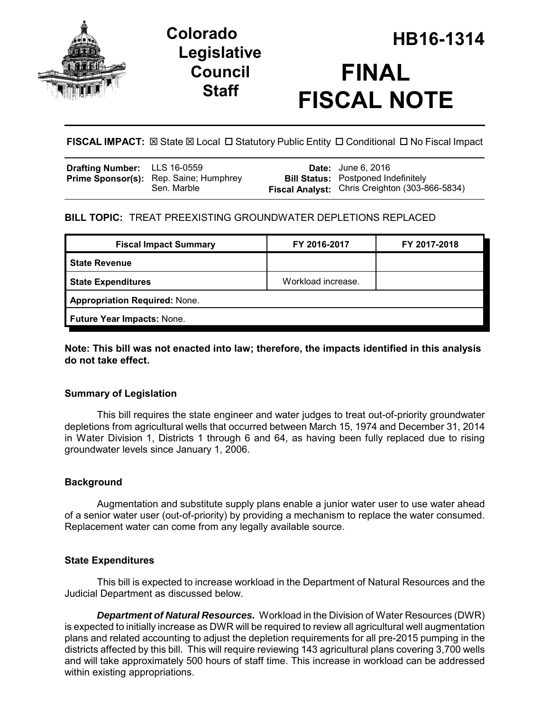

# **Legislative Council Staff**

# **HB16-1314 Colorado FINAL FISCAL NOTE**

**FISCAL IMPACT:**  $\boxtimes$  State  $\boxtimes$  Local  $\Box$  Statutory Public Entity  $\Box$  Conditional  $\Box$  No Fiscal Impact

| <b>Drafting Number:</b> LLS 16-0559 |                                                              | <b>Date:</b> June 6, 2016                                                                    |
|-------------------------------------|--------------------------------------------------------------|----------------------------------------------------------------------------------------------|
|                                     | <b>Prime Sponsor(s):</b> Rep. Saine; Humphrey<br>Sen. Marble | <b>Bill Status:</b> Postponed Indefinitely<br>Fiscal Analyst: Chris Creighton (303-866-5834) |

# **BILL TOPIC:** TREAT PREEXISTING GROUNDWATER DEPLETIONS REPLACED

| FY 2016-2017                         | FY 2017-2018 |  |  |  |
|--------------------------------------|--------------|--|--|--|
|                                      |              |  |  |  |
| Workload increase.                   |              |  |  |  |
| <b>Appropriation Required: None.</b> |              |  |  |  |
| Future Year Impacts: None.           |              |  |  |  |
|                                      |              |  |  |  |

## **Note: This bill was not enacted into law; therefore, the impacts identified in this analysis do not take effect.**

# **Summary of Legislation**

This bill requires the state engineer and water judges to treat out-of-priority groundwater depletions from agricultural wells that occurred between March 15, 1974 and December 31, 2014 in Water Division 1, Districts 1 through 6 and 64, as having been fully replaced due to rising groundwater levels since January 1, 2006.

# **Background**

Augmentation and substitute supply plans enable a junior water user to use water ahead of a senior water user (out-of-priority) by providing a mechanism to replace the water consumed. Replacement water can come from any legally available source.

## **State Expenditures**

This bill is expected to increase workload in the Department of Natural Resources and the Judicial Department as discussed below.

*Department of Natural Resources.* Workload in the Division of Water Resources (DWR) is expected to initially increase as DWR will be required to review all agricultural well augmentation plans and related accounting to adjust the depletion requirements for all pre-2015 pumping in the districts affected by this bill. This will require reviewing 143 agricultural plans covering 3,700 wells and will take approximately 500 hours of staff time. This increase in workload can be addressed within existing appropriations.